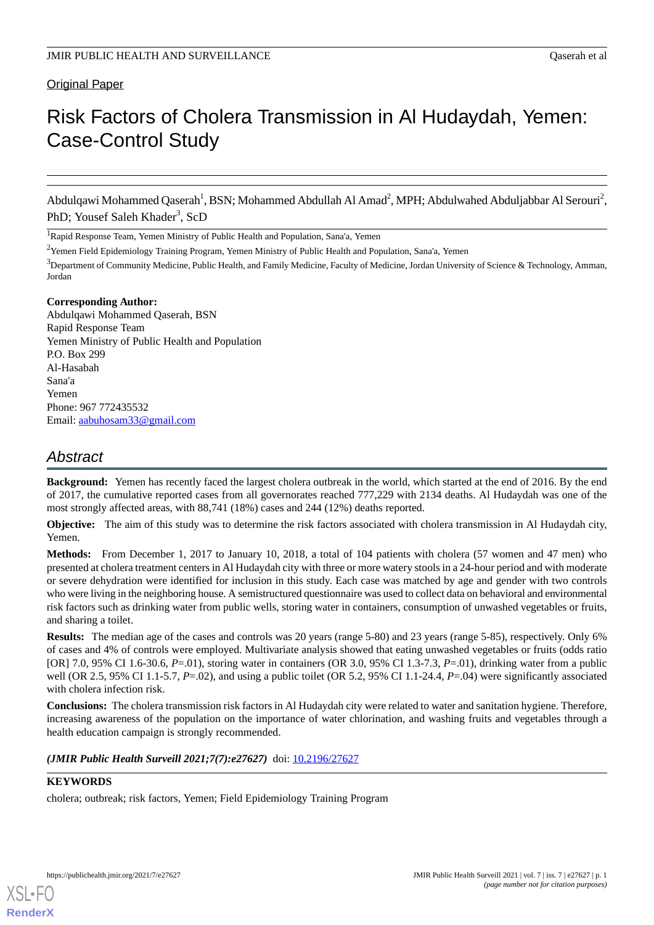# Original Paper

# Risk Factors of Cholera Transmission in Al Hudaydah, Yemen: Case-Control Study

Abdulqawi Mohammed Qaserah<sup>1</sup>, BSN; Mohammed Abdullah Al Amad<sup>2</sup>, MPH; Abdulwahed Abduljabbar Al Serouri<sup>2</sup>, PhD; Yousef Saleh Khader<sup>3</sup>, ScD

<sup>1</sup>Rapid Response Team, Yemen Ministry of Public Health and Population, Sana'a, Yemen

<sup>2</sup>Yemen Field Epidemiology Training Program, Yemen Ministry of Public Health and Population, Sana'a, Yemen

<sup>3</sup>Department of Community Medicine, Public Health, and Family Medicine, Faculty of Medicine, Jordan University of Science & Technology, Amman, Jordan

## **Corresponding Author:**

Abdulqawi Mohammed Qaserah, BSN Rapid Response Team Yemen Ministry of Public Health and Population P.O. Box 299 Al-Hasabah Sana'a Yemen Phone: 967 772435532 Email: [aabuhosam33@gmail.com](mailto:aabuhosam33@gmail.com)

# *Abstract*

**Background:** Yemen has recently faced the largest cholera outbreak in the world, which started at the end of 2016. By the end of 2017, the cumulative reported cases from all governorates reached 777,229 with 2134 deaths. Al Hudaydah was one of the most strongly affected areas, with 88,741 (18%) cases and 244 (12%) deaths reported.

**Objective:** The aim of this study was to determine the risk factors associated with cholera transmission in Al Hudaydah city, Yemen.

**Methods:** From December 1, 2017 to January 10, 2018, a total of 104 patients with cholera (57 women and 47 men) who presented at cholera treatment centers in Al Hudaydah city with three or more watery stools in a 24-hour period and with moderate or severe dehydration were identified for inclusion in this study. Each case was matched by age and gender with two controls who were living in the neighboring house. A semistructured questionnaire was used to collect data on behavioral and environmental risk factors such as drinking water from public wells, storing water in containers, consumption of unwashed vegetables or fruits, and sharing a toilet.

**Results:** The median age of the cases and controls was 20 years (range 5-80) and 23 years (range 5-85), respectively. Only 6% of cases and 4% of controls were employed. Multivariate analysis showed that eating unwashed vegetables or fruits (odds ratio [OR] 7.0, 95% CI 1.6-30.6, *P*=.01), storing water in containers (OR 3.0, 95% CI 1.3-7.3, *P*=.01), drinking water from a public well (OR 2.5, 95% CI 1.1-5.7,  $P = .02$ ), and using a public toilet (OR 5.2, 95% CI 1.1-24.4,  $P = .04$ ) were significantly associated with cholera infection risk.

**Conclusions:** The cholera transmission risk factors in Al Hudaydah city were related to water and sanitation hygiene. Therefore, increasing awareness of the population on the importance of water chlorination, and washing fruits and vegetables through a health education campaign is strongly recommended.

*(JMIR Public Health Surveill 2021;7(7):e27627)* doi: [10.2196/27627](http://dx.doi.org/10.2196/27627)

# **KEYWORDS**

[XSL](http://www.w3.org/Style/XSL)•FO **[RenderX](http://www.renderx.com/)**

cholera; outbreak; risk factors, Yemen; Field Epidemiology Training Program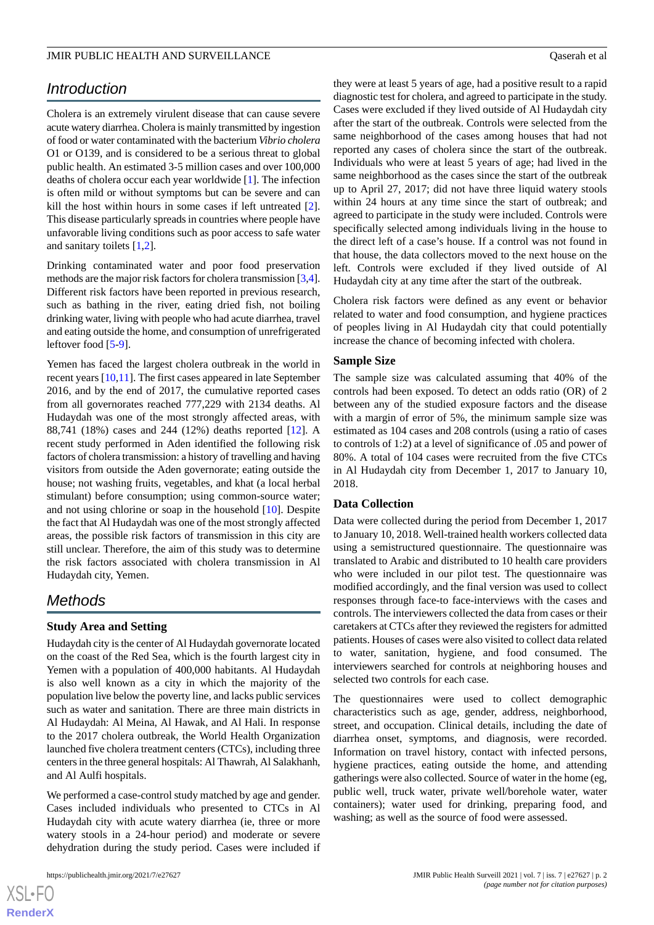# *Introduction*

Cholera is an extremely virulent disease that can cause severe acute watery diarrhea. Cholera is mainly transmitted by ingestion of food or water contaminated with the bacterium *Vibrio cholera* O1 or O139, and is considered to be a serious threat to global public health. An estimated 3-5 million cases and over 100,000 deaths of cholera occur each year worldwide [\[1](#page-4-0)]. The infection is often mild or without symptoms but can be severe and can kill the host within hours in some cases if left untreated [[2\]](#page-4-1). This disease particularly spreads in countries where people have unfavorable living conditions such as poor access to safe water and sanitary toilets [[1](#page-4-0)[,2](#page-4-1)].

Drinking contaminated water and poor food preservation methods are the major risk factors for cholera transmission [[3,](#page-4-2)[4\]](#page-4-3). Different risk factors have been reported in previous research, such as bathing in the river, eating dried fish, not boiling drinking water, living with people who had acute diarrhea, travel and eating outside the home, and consumption of unrefrigerated leftover food [[5](#page-4-4)[-9](#page-4-5)].

Yemen has faced the largest cholera outbreak in the world in recent years [\[10](#page-4-6),[11\]](#page-4-7). The first cases appeared in late September 2016, and by the end of 2017, the cumulative reported cases from all governorates reached 777,229 with 2134 deaths. Al Hudaydah was one of the most strongly affected areas, with 88,741 (18%) cases and 244 (12%) deaths reported [[12\]](#page-4-8). A recent study performed in Aden identified the following risk factors of cholera transmission: a history of travelling and having visitors from outside the Aden governorate; eating outside the house; not washing fruits, vegetables, and khat (a local herbal stimulant) before consumption; using common-source water; and not using chlorine or soap in the household [\[10](#page-4-6)]. Despite the fact that Al Hudaydah was one of the most strongly affected areas, the possible risk factors of transmission in this city are still unclear. Therefore, the aim of this study was to determine the risk factors associated with cholera transmission in Al Hudaydah city, Yemen.

# *Methods*

## **Study Area and Setting**

Hudaydah city is the center of Al Hudaydah governorate located on the coast of the Red Sea, which is the fourth largest city in Yemen with a population of 400,000 habitants. Al Hudaydah is also well known as a city in which the majority of the population live below the poverty line, and lacks public services such as water and sanitation. There are three main districts in Al Hudaydah: Al Meina, Al Hawak, and Al Hali. In response to the 2017 cholera outbreak, the World Health Organization launched five cholera treatment centers (CTCs), including three centers in the three general hospitals: Al Thawrah, Al Salakhanh, and Al Aulfi hospitals.

We performed a case-control study matched by age and gender. Cases included individuals who presented to CTCs in Al Hudaydah city with acute watery diarrhea (ie, three or more watery stools in a 24-hour period) and moderate or severe dehydration during the study period. Cases were included if

they were at least 5 years of age, had a positive result to a rapid diagnostic test for cholera, and agreed to participate in the study. Cases were excluded if they lived outside of Al Hudaydah city after the start of the outbreak. Controls were selected from the same neighborhood of the cases among houses that had not reported any cases of cholera since the start of the outbreak. Individuals who were at least 5 years of age; had lived in the same neighborhood as the cases since the start of the outbreak up to April 27, 2017; did not have three liquid watery stools within 24 hours at any time since the start of outbreak; and agreed to participate in the study were included. Controls were specifically selected among individuals living in the house to the direct left of a case's house. If a control was not found in that house, the data collectors moved to the next house on the left. Controls were excluded if they lived outside of Al Hudaydah city at any time after the start of the outbreak.

Cholera risk factors were defined as any event or behavior related to water and food consumption, and hygiene practices of peoples living in Al Hudaydah city that could potentially increase the chance of becoming infected with cholera.

# **Sample Size**

The sample size was calculated assuming that 40% of the controls had been exposed. To detect an odds ratio (OR) of 2 between any of the studied exposure factors and the disease with a margin of error of 5%, the minimum sample size was estimated as 104 cases and 208 controls (using a ratio of cases to controls of 1:2) at a level of significance of .05 and power of 80%. A total of 104 cases were recruited from the five CTCs in Al Hudaydah city from December 1, 2017 to January 10, 2018.

#### **Data Collection**

Data were collected during the period from December 1, 2017 to January 10, 2018. Well-trained health workers collected data using a semistructured questionnaire. The questionnaire was translated to Arabic and distributed to 10 health care providers who were included in our pilot test. The questionnaire was modified accordingly, and the final version was used to collect responses through face-to face-interviews with the cases and controls. The interviewers collected the data from cases or their caretakers at CTCs after they reviewed the registers for admitted patients. Houses of cases were also visited to collect data related to water, sanitation, hygiene, and food consumed. The interviewers searched for controls at neighboring houses and selected two controls for each case.

The questionnaires were used to collect demographic characteristics such as age, gender, address, neighborhood, street, and occupation. Clinical details, including the date of diarrhea onset, symptoms, and diagnosis, were recorded. Information on travel history, contact with infected persons, hygiene practices, eating outside the home, and attending gatherings were also collected. Source of water in the home (eg, public well, truck water, private well/borehole water, water containers); water used for drinking, preparing food, and washing; as well as the source of food were assessed.

```
XSI - F(RenderX
```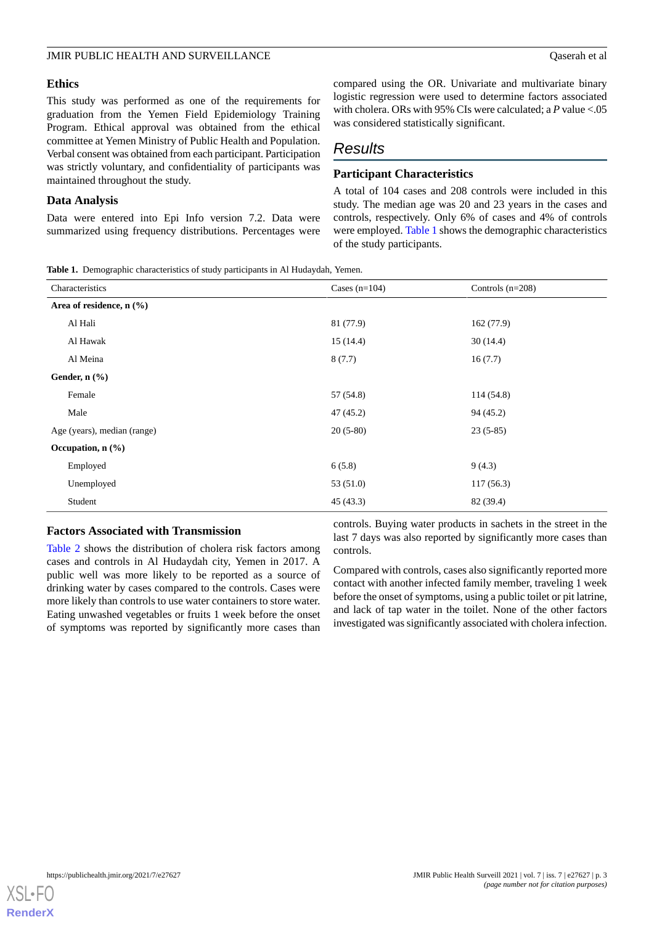This study was performed as one of the requirements for graduation from the Yemen Field Epidemiology Training Program. Ethical approval was obtained from the ethical committee at Yemen Ministry of Public Health and Population. Verbal consent was obtained from each participant. Participation was strictly voluntary, and confidentiality of participants was maintained throughout the study.

## **Data Analysis**

<span id="page-2-0"></span>Data were entered into Epi Info version 7.2. Data were summarized using frequency distributions. Percentages were

compared using the OR. Univariate and multivariate binary logistic regression were used to determine factors associated with cholera. ORs with 95% CIs were calculated; a *P* value <.05 was considered statistically significant.

# *Results*

# **Participant Characteristics**

A total of 104 cases and 208 controls were included in this study. The median age was 20 and 23 years in the cases and controls, respectively. Only 6% of cases and 4% of controls were employed. [Table 1](#page-2-0) shows the demographic characteristics of the study participants.

**Table 1.** Demographic characteristics of study participants in Al Hudaydah, Yemen.

| Characteristics                 | Cases $(n=104)$ | Controls $(n=208)$ |
|---------------------------------|-----------------|--------------------|
| Area of residence, $n$ (%)      |                 |                    |
| Al Hali                         | 81 (77.9)       | 162(77.9)          |
| Al Hawak                        | 15(14.4)        | 30(14.4)           |
| Al Meina                        | 8(7.7)          | 16(7.7)            |
| Gender, $n$ $(\%)$              |                 |                    |
| Female                          | 57 (54.8)       | 114(54.8)          |
| Male                            | 47 (45.2)       | 94 (45.2)          |
| Age (years), median (range)     | $20(5-80)$      | $23(5-85)$         |
| Occupation, $n$ $(\frac{9}{6})$ |                 |                    |
| Employed                        | 6(5.8)          | 9(4.3)             |
| Unemployed                      | 53 (51.0)       | 117(56.3)          |
| Student                         | 45(43.3)        | 82 (39.4)          |

## **Factors Associated with Transmission**

[Table 2](#page-3-0) shows the distribution of cholera risk factors among cases and controls in Al Hudaydah city, Yemen in 2017. A public well was more likely to be reported as a source of drinking water by cases compared to the controls. Cases were more likely than controls to use water containers to store water. Eating unwashed vegetables or fruits 1 week before the onset of symptoms was reported by significantly more cases than

controls. Buying water products in sachets in the street in the last 7 days was also reported by significantly more cases than controls.

Compared with controls, cases also significantly reported more contact with another infected family member, traveling 1 week before the onset of symptoms, using a public toilet or pit latrine, and lack of tap water in the toilet. None of the other factors investigated was significantly associated with cholera infection.

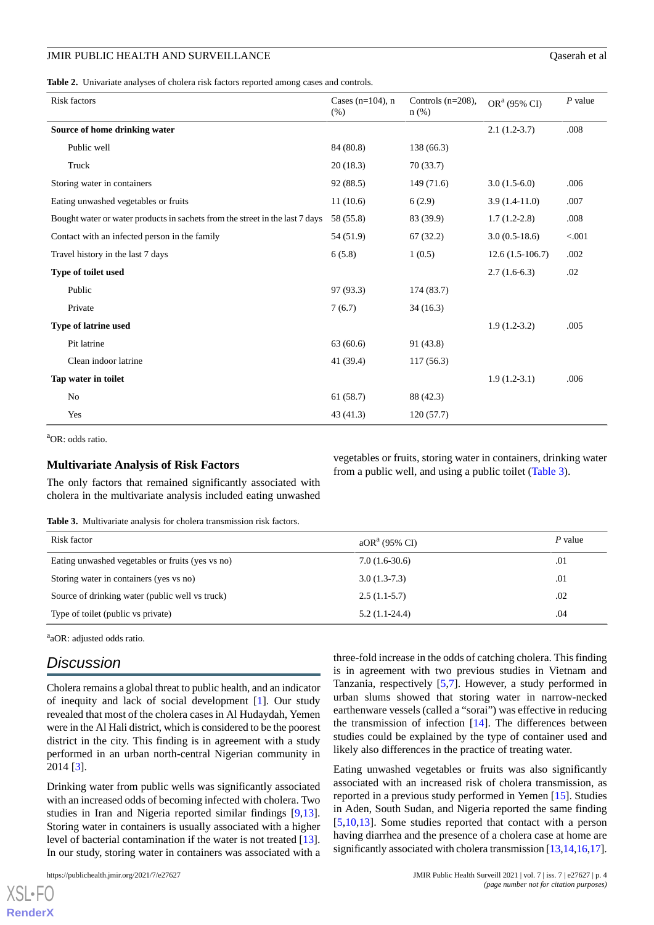<span id="page-3-0"></span>**Table 2.** Univariate analyses of cholera risk factors reported among cases and controls.

| <b>Risk factors</b>                                                          | Cases ( $n=104$ ), n<br>(% ) | Controls $(n=208)$ ,<br>$n$ (%) | OR <sup>a</sup> (95% CI) | $P$ value |
|------------------------------------------------------------------------------|------------------------------|---------------------------------|--------------------------|-----------|
| Source of home drinking water                                                |                              |                                 | $2.1(1.2-3.7)$           | .008      |
| Public well                                                                  | 84 (80.8)                    | 138 (66.3)                      |                          |           |
| Truck                                                                        | 20(18.3)                     | 70(33.7)                        |                          |           |
| Storing water in containers                                                  | 92 (88.5)                    | 149(71.6)                       | $3.0(1.5-6.0)$           | .006      |
| Eating unwashed vegetables or fruits                                         | 11(10.6)                     | 6(2.9)                          | $3.9(1.4-11.0)$          | .007      |
| Bought water or water products in sachets from the street in the last 7 days | 58 (55.8)                    | 83 (39.9)                       | $1.7(1.2-2.8)$           | .008      |
| Contact with an infected person in the family                                | 54 (51.9)                    | 67(32.2)                        | $3.0(0.5-18.6)$          | < 0.001   |
| Travel history in the last 7 days                                            | 6(5.8)                       | 1(0.5)                          | $12.6(1.5-106.7)$        | .002      |
| Type of toilet used                                                          |                              |                                 | $2.7(1.6-6.3)$           | .02       |
| Public                                                                       | 97 (93.3)                    | 174 (83.7)                      |                          |           |
| Private                                                                      | 7(6.7)                       | 34(16.3)                        |                          |           |
| Type of latrine used                                                         |                              |                                 | $1.9(1.2-3.2)$           | .005      |
| Pit latrine                                                                  | 63(60.6)                     | 91 (43.8)                       |                          |           |
| Clean indoor latrine                                                         | 41 (39.4)                    | 117(56.3)                       |                          |           |
| Tap water in toilet                                                          |                              |                                 | $1.9(1.2-3.1)$           | .006      |
| No                                                                           | 61 (58.7)                    | 88 (42.3)                       |                          |           |
| Yes                                                                          | 43(41.3)                     | 120(57.7)                       |                          |           |

 ${}^{a}$ OR: odds ratio.

## <span id="page-3-1"></span>**Multivariate Analysis of Risk Factors**

The only factors that remained significantly associated with cholera in the multivariate analysis included eating unwashed

**Table 3.** Multivariate analysis for cholera transmission risk factors.

| Risk factor                                      | aOR <sup>a</sup> (95% CI) | P value |
|--------------------------------------------------|---------------------------|---------|
| Eating unwashed vegetables or fruits (yes vs no) | $7.0(1.6-30.6)$           | .01     |
| Storing water in containers (yes vs no)          | $3.0(1.3-7.3)$            | .01     |
| Source of drinking water (public well vs truck)  | $2.5(1.1-5.7)$            | .02     |
| Type of toilet (public vs private)               | $5.2(1.1-24.4)$           | .04     |

<sup>a</sup>aOR: adjusted odds ratio.

# *Discussion*

Cholera remains a global threat to public health, and an indicator of inequity and lack of social development [\[1](#page-4-0)]. Our study revealed that most of the cholera cases in Al Hudaydah, Yemen were in the Al Hali district, which is considered to be the poorest district in the city. This finding is in agreement with a study performed in an urban north-central Nigerian community in 2014 [\[3](#page-4-2)].

Drinking water from public wells was significantly associated with an increased odds of becoming infected with cholera. Two studies in Iran and Nigeria reported similar findings [\[9](#page-4-5),[13\]](#page-4-9). Storing water in containers is usually associated with a higher level of bacterial contamination if the water is not treated [[13\]](#page-4-9). In our study, storing water in containers was associated with a

three-fold increase in the odds of catching cholera. This finding is in agreement with two previous studies in Vietnam and Tanzania, respectively [\[5](#page-4-4),[7\]](#page-4-10). However, a study performed in urban slums showed that storing water in narrow-necked earthenware vessels (called a "sorai") was effective in reducing the transmission of infection  $[14]$  $[14]$ . The differences between studies could be explained by the type of container used and likely also differences in the practice of treating water.

vegetables or fruits, storing water in containers, drinking water

from a public well, and using a public toilet [\(Table 3\)](#page-3-1).

Eating unwashed vegetables or fruits was also significantly associated with an increased risk of cholera transmission, as reported in a previous study performed in Yemen [\[15](#page-4-12)]. Studies in Aden, South Sudan, and Nigeria reported the same finding [[5](#page-4-4)[,10](#page-4-6),[13\]](#page-4-9). Some studies reported that contact with a person having diarrhea and the presence of a cholera case at home are significantly associated with cholera transmission [[13](#page-4-9),[14,](#page-4-11)[16](#page-4-13)[,17](#page-5-0)].

 $X$ SL•F $O$ **[RenderX](http://www.renderx.com/)**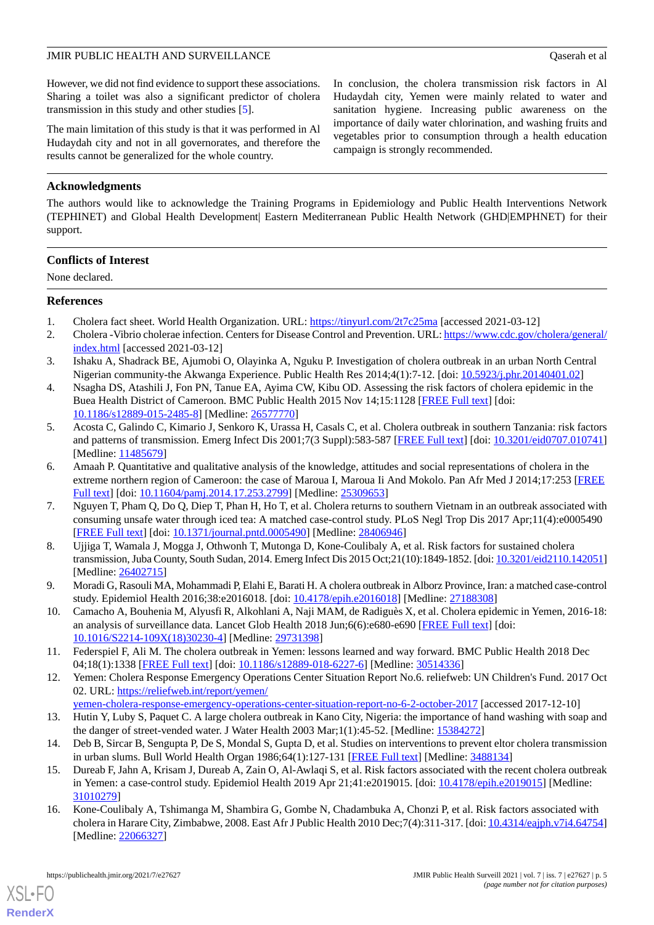However, we did not find evidence to support these associations. Sharing a toilet was also a significant predictor of cholera transmission in this study and other studies [[5\]](#page-4-4).

The main limitation of this study is that it was performed in Al Hudaydah city and not in all governorates, and therefore the results cannot be generalized for the whole country.

In conclusion, the cholera transmission risk factors in Al Hudaydah city, Yemen were mainly related to water and sanitation hygiene. Increasing public awareness on the importance of daily water chlorination, and washing fruits and vegetables prior to consumption through a health education campaign is strongly recommended.

# **Acknowledgments**

The authors would like to acknowledge the Training Programs in Epidemiology and Public Health Interventions Network (TEPHINET) and Global Health Development| Eastern Mediterranean Public Health Network (GHD|EMPHNET) for their support.

# **Conflicts of Interest**

None declared.

## <span id="page-4-1"></span><span id="page-4-0"></span>**References**

- <span id="page-4-2"></span>1. Cholera fact sheet. World Health Organization. URL:<https://tinyurl.com/2t7c25ma> [accessed 2021-03-12]
- 2. Cholera -Vibrio cholerae infection. Centers for Disease Control and Prevention. URL: [https://www.cdc.gov/cholera/general/](https://www.cdc.gov/cholera/general/index.html) [index.html](https://www.cdc.gov/cholera/general/index.html) [accessed 2021-03-12]
- <span id="page-4-3"></span>3. Ishaku A, Shadrack BE, Ajumobi O, Olayinka A, Nguku P. Investigation of cholera outbreak in an urban North Central Nigerian community-the Akwanga Experience. Public Health Res 2014;4(1):7-12. [doi: [10.5923/j.phr.20140401.02](http://dx.doi.org/10.5923/j.phr.20140401.02)]
- <span id="page-4-4"></span>4. Nsagha DS, Atashili J, Fon PN, Tanue EA, Ayima CW, Kibu OD. Assessing the risk factors of cholera epidemic in the Buea Health District of Cameroon. BMC Public Health 2015 Nov 14;15:1128 [\[FREE Full text](https://bmcpublichealth.biomedcentral.com/articles/10.1186/s12889-015-2485-8)] [doi: [10.1186/s12889-015-2485-8\]](http://dx.doi.org/10.1186/s12889-015-2485-8) [Medline: [26577770](http://www.ncbi.nlm.nih.gov/entrez/query.fcgi?cmd=Retrieve&db=PubMed&list_uids=26577770&dopt=Abstract)]
- 5. Acosta C, Galindo C, Kimario J, Senkoro K, Urassa H, Casals C, et al. Cholera outbreak in southern Tanzania: risk factors and patterns of transmission. Emerg Infect Dis 2001;7(3 Suppl):583-587 [[FREE Full text](https://wwwnc.cdc.gov/eid/article/7/7/01-7741.htm)] [doi: [10.3201/eid0707.010741](http://dx.doi.org/10.3201/eid0707.010741)] [Medline: [11485679](http://www.ncbi.nlm.nih.gov/entrez/query.fcgi?cmd=Retrieve&db=PubMed&list_uids=11485679&dopt=Abstract)]
- <span id="page-4-10"></span>6. Amaah P. Quantitative and qualitative analysis of the knowledge, attitudes and social representations of cholera in the extreme northern region of Cameroon: the case of Maroua I, Maroua Ii And Mokolo. Pan Afr Med J 2014;17:253 [\[FREE](https://www.panafrican-med-journal.com/content/article/17/253/full/) [Full text\]](https://www.panafrican-med-journal.com/content/article/17/253/full/) [doi: [10.11604/pamj.2014.17.253.2799](http://dx.doi.org/10.11604/pamj.2014.17.253.2799)] [Medline: [25309653](http://www.ncbi.nlm.nih.gov/entrez/query.fcgi?cmd=Retrieve&db=PubMed&list_uids=25309653&dopt=Abstract)]
- 7. Nguyen T, Pham Q, Do Q, Diep T, Phan H, Ho T, et al. Cholera returns to southern Vietnam in an outbreak associated with consuming unsafe water through iced tea: A matched case-control study. PLoS Negl Trop Dis 2017 Apr;11(4):e0005490 [[FREE Full text](https://dx.plos.org/10.1371/journal.pntd.0005490)] [doi: [10.1371/journal.pntd.0005490\]](http://dx.doi.org/10.1371/journal.pntd.0005490) [Medline: [28406946\]](http://www.ncbi.nlm.nih.gov/entrez/query.fcgi?cmd=Retrieve&db=PubMed&list_uids=28406946&dopt=Abstract)
- <span id="page-4-6"></span><span id="page-4-5"></span>8. Ujjiga T, Wamala J, Mogga J, Othwonh T, Mutonga D, Kone-Coulibaly A, et al. Risk factors for sustained cholera transmission, Juba County, South Sudan, 2014. Emerg Infect Dis 2015 Oct;21(10):1849-1852. [doi: [10.3201/eid2110.142051\]](http://dx.doi.org/10.3201/eid2110.142051) [Medline: [26402715](http://www.ncbi.nlm.nih.gov/entrez/query.fcgi?cmd=Retrieve&db=PubMed&list_uids=26402715&dopt=Abstract)]
- <span id="page-4-7"></span>9. Moradi G, Rasouli MA, Mohammadi P, Elahi E, Barati H. A cholera outbreak in Alborz Province, Iran: a matched case-control study. Epidemiol Health 2016;38:e2016018. [doi: [10.4178/epih.e2016018\]](http://dx.doi.org/10.4178/epih.e2016018) [Medline: [27188308\]](http://www.ncbi.nlm.nih.gov/entrez/query.fcgi?cmd=Retrieve&db=PubMed&list_uids=27188308&dopt=Abstract)
- <span id="page-4-8"></span>10. Camacho A, Bouhenia M, Alyusfi R, Alkohlani A, Naji MAM, de Radiguès X, et al. Cholera epidemic in Yemen, 2016-18: an analysis of surveillance data. Lancet Glob Health 2018 Jun;6(6):e680-e690 [\[FREE Full text\]](https://linkinghub.elsevier.com/retrieve/pii/S2214-109X(18)30230-4) [doi: [10.1016/S2214-109X\(18\)30230-4\]](http://dx.doi.org/10.1016/S2214-109X(18)30230-4) [Medline: [29731398\]](http://www.ncbi.nlm.nih.gov/entrez/query.fcgi?cmd=Retrieve&db=PubMed&list_uids=29731398&dopt=Abstract)
- <span id="page-4-9"></span>11. Federspiel F, Ali M. The cholera outbreak in Yemen: lessons learned and way forward. BMC Public Health 2018 Dec 04;18(1):1338 [[FREE Full text\]](https://bmcpublichealth.biomedcentral.com/articles/10.1186/s12889-018-6227-6) [doi: [10.1186/s12889-018-6227-6](http://dx.doi.org/10.1186/s12889-018-6227-6)] [Medline: [30514336](http://www.ncbi.nlm.nih.gov/entrez/query.fcgi?cmd=Retrieve&db=PubMed&list_uids=30514336&dopt=Abstract)]
- <span id="page-4-11"></span>12. Yemen: Cholera Response Emergency Operations Center Situation Report No.6. reliefweb: UN Children's Fund. 2017 Oct 02. URL: [https://reliefweb.int/report/yemen/](https://reliefweb.int/report/yemen/yemen-cholera-response-emergency-operations-center-situation-report-no-6-2-october-2017)
- <span id="page-4-12"></span>[yemen-cholera-response-emergency-operations-center-situation-report-no-6-2-october-2017](https://reliefweb.int/report/yemen/yemen-cholera-response-emergency-operations-center-situation-report-no-6-2-october-2017) [accessed 2017-12-10]
- <span id="page-4-13"></span>13. Hutin Y, Luby S, Paquet C. A large cholera outbreak in Kano City, Nigeria: the importance of hand washing with soap and the danger of street-vended water. J Water Health 2003 Mar;1(1):45-52. [Medline: [15384272\]](http://www.ncbi.nlm.nih.gov/entrez/query.fcgi?cmd=Retrieve&db=PubMed&list_uids=15384272&dopt=Abstract)
- 14. Deb B, Sircar B, Sengupta P, De S, Mondal S, Gupta D, et al. Studies on interventions to prevent eltor cholera transmission in urban slums. Bull World Health Organ 1986;64(1):127-131 [\[FREE Full text\]](http://europepmc.org/abstract/MED/3488134) [Medline: [3488134](http://www.ncbi.nlm.nih.gov/entrez/query.fcgi?cmd=Retrieve&db=PubMed&list_uids=3488134&dopt=Abstract)]
- 15. Dureab F, Jahn A, Krisam J, Dureab A, Zain O, Al-Awlaqi S, et al. Risk factors associated with the recent cholera outbreak in Yemen: a case-control study. Epidemiol Health 2019 Apr 21;41:e2019015. [doi: [10.4178/epih.e2019015](http://dx.doi.org/10.4178/epih.e2019015)] [Medline: [31010279](http://www.ncbi.nlm.nih.gov/entrez/query.fcgi?cmd=Retrieve&db=PubMed&list_uids=31010279&dopt=Abstract)]
- 16. Kone-Coulibaly A, Tshimanga M, Shambira G, Gombe N, Chadambuka A, Chonzi P, et al. Risk factors associated with cholera in Harare City, Zimbabwe, 2008. East Afr J Public Health 2010 Dec;7(4):311-317. [doi: [10.4314/eajph.v7i4.64754](http://dx.doi.org/10.4314/eajph.v7i4.64754)] [Medline: [22066327](http://www.ncbi.nlm.nih.gov/entrez/query.fcgi?cmd=Retrieve&db=PubMed&list_uids=22066327&dopt=Abstract)]

[XSL](http://www.w3.org/Style/XSL)•FO **[RenderX](http://www.renderx.com/)**